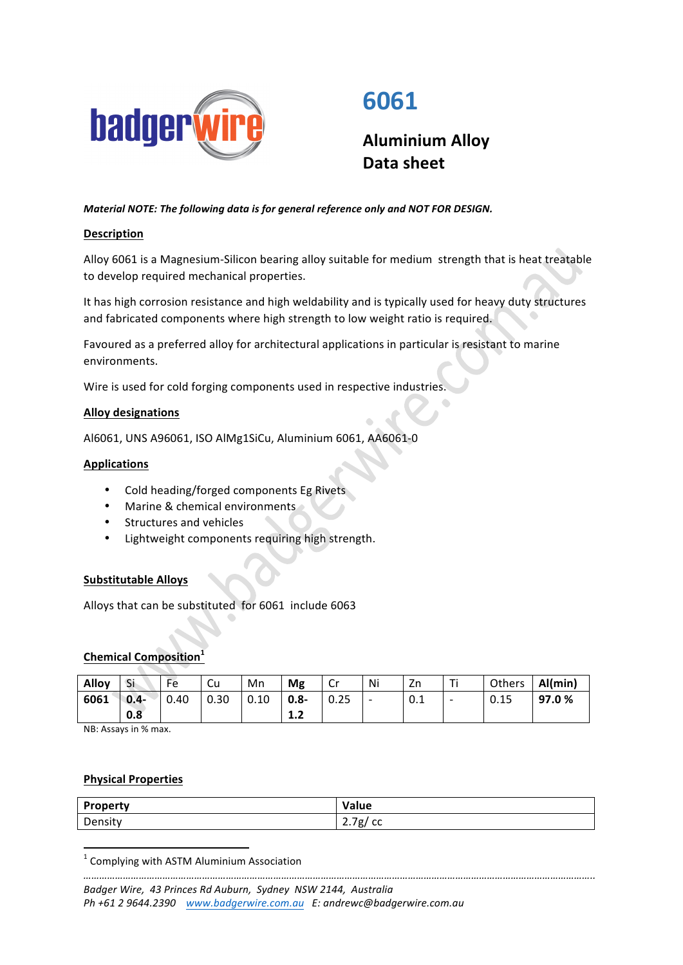

# **6061**

**Aluminium Alloy Data sheet**

# *Material NOTE: The following data is for general reference only and NOT FOR DESIGN.*

# **Description**

Alloy 6061 is a Magnesium-Silicon bearing alloy suitable for medium strength that is heat treatable to develop required mechanical properties.

It has high corrosion resistance and high weldability and is typically used for heavy duty structures and fabricated components where high strength to low weight ratio is required.

Favoured as a preferred alloy for architectural applications in particular is resistant to marine environments. 

Wire is used for cold forging components used in respective industries.

# **Alloy designations**

Al6061, UNS A96061, ISO AlMg1SiCu, Aluminium 6061, AA6061-0

## **Applications**

- Cold heading/forged components Eg Rivets
- Marine & chemical environments
- Structures and vehicles
- Lightweight components requiring high strength.

## **Substitutable Alloys**

Alloys that can be substituted for 6061 include 6063

# **Chemical Composition**

| <b>Alloy</b> | Si      | Fe   | Cu   | Mn   | Mg      | U    | Ni                       | Zn  | $-1$                     | Others | Al(min) |
|--------------|---------|------|------|------|---------|------|--------------------------|-----|--------------------------|--------|---------|
| 6061         | $0.4 -$ | 0.40 | 0.30 | 0.10 | $0.8 -$ | 0.25 | $\overline{\phantom{a}}$ | 0.1 | $\overline{\phantom{a}}$ | 0.15   | 97.0 %  |
|              | 0.8     |      |      |      | ⊥.∠     |      |                          |     |                          |        |         |

NB: Assays in % max.

## **Physical Properties**

| <b>Property</b> | Value                                                    |
|-----------------|----------------------------------------------------------|
| Density         | $\overline{\phantom{a}}$<br>$\sim$<br>ισι<br>ิ๛<br>4.75/ |

 $1$  Complying with ASTM Aluminium Association

<u> 1989 - Jan Samuel Barbara, margaret e</u>

*…………………………………………………………………………………………………………………………………………………………………………..*

Badger Wire, 43 Princes Rd Auburn, Sydney NSW 2144, Australia *Ph +61 2 9644.2390  [www.badgerwire.com.au](http://www.badgerwire.com.au) E: andrewc@badgerwire.com.au*